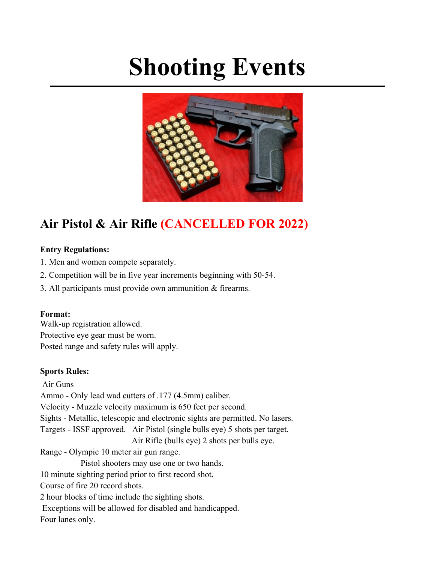# **Shooting Events**



# **Air Pistol & Air Rifle (CANCELLED FOR 2022)**

#### **Entry Regulations:**

- 1. Men and women compete separately.
- 2. Competition will be in five year increments beginning with 50-54.
- 3. All participants must provide own ammunition & firearms.

#### **Format:**

Walk-up registration allowed. Protective eye gear must be worn. Posted range and safety rules will apply.

#### **Sports Rules:**

Air Guns Ammo - Only lead wad cutters of .177 (4.5mm) caliber. Velocity - Muzzle velocity maximum is 650 feet per second. Sights - Metallic, telescopic and electronic sights are permitted. No lasers. Targets - ISSF approved. Air Pistol (single bulls eye) 5 shots per target. Air Rifle (bulls eye) 2 shots per bulls eye. Range - Olympic 10 meter air gun range. Pistol shooters may use one or two hands. 10 minute sighting period prior to first record shot. Course of fire 20 record shots. 2 hour blocks of time include the sighting shots. Exceptions will be allowed for disabled and handicapped. Four lanes only.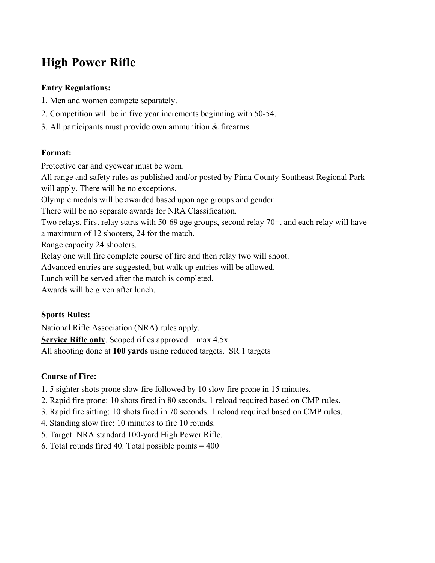# **High Power Rifle**

# **Entry Regulations:**

- 1. Men and women compete separately.
- 2. Competition will be in five year increments beginning with 50-54.
- 3. All participants must provide own ammunition & firearms.

#### **Format:**

Protective ear and eyewear must be worn.

All range and safety rules as published and/or posted by Pima County Southeast Regional Park will apply. There will be no exceptions.

Olympic medals will be awarded based upon age groups and gender

There will be no separate awards for NRA Classification.

Two relays. First relay starts with 50-69 age groups, second relay 70+, and each relay will have

a maximum of 12 shooters, 24 for the match.

Range capacity 24 shooters.

Relay one will fire complete course of fire and then relay two will shoot.

Advanced entries are suggested, but walk up entries will be allowed.

Lunch will be served after the match is completed.

Awards will be given after lunch.

# **Sports Rules:**

National Rifle Association (NRA) rules apply. **Service Rifle only**. Scoped rifles approved—max 4.5x All shooting done at **100 yards** using reduced targets. SR 1 targets

# **Course of Fire:**

- 1. 5 sighter shots prone slow fire followed by 10 slow fire prone in 15 minutes.
- 2. Rapid fire prone: 10 shots fired in 80 seconds. 1 reload required based on CMP rules.
- 3. Rapid fire sitting: 10 shots fired in 70 seconds. 1 reload required based on CMP rules.
- 4. Standing slow fire: 10 minutes to fire 10 rounds.
- 5. Target: NRA standard 100-yard High Power Rifle.
- 6. Total rounds fired 40. Total possible points  $= 400$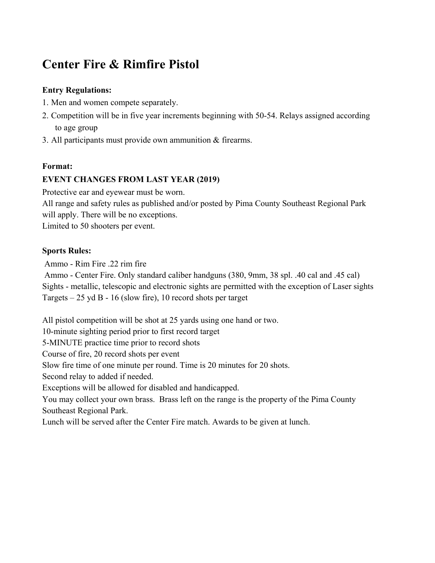# **Center Fire & Rimfire Pistol**

# **Entry Regulations:**

- 1. Men and women compete separately.
- 2. Competition will be in five year increments beginning with 50-54. Relays assigned according to age group
- 3. All participants must provide own ammunition & firearms.

#### **Format:**

# **EVENT CHANGES FROM LAST YEAR (2019)**

Protective ear and eyewear must be worn.

All range and safety rules as published and/or posted by Pima County Southeast Regional Park will apply. There will be no exceptions.

Limited to 50 shooters per event.

#### **Sports Rules:**

Ammo - Rim Fire .22 rim fire

Ammo - Center Fire. Only standard caliber handguns (380, 9mm, 38 spl. .40 cal and .45 cal) Sights - metallic, telescopic and electronic sights are permitted with the exception of Laser sights Targets – 25 yd B - 16 (slow fire), 10 record shots per target

All pistol competition will be shot at 25 yards using one hand or two. 10-minute sighting period prior to first record target 5-MINUTE practice time prior to record shots Course of fire, 20 record shots per event Slow fire time of one minute per round. Time is 20 minutes for 20 shots. Second relay to added if needed. Exceptions will be allowed for disabled and handicapped. You may collect your own brass. Brass left on the range is the property of the Pima County Southeast Regional Park. Lunch will be served after the Center Fire match. Awards to be given at lunch.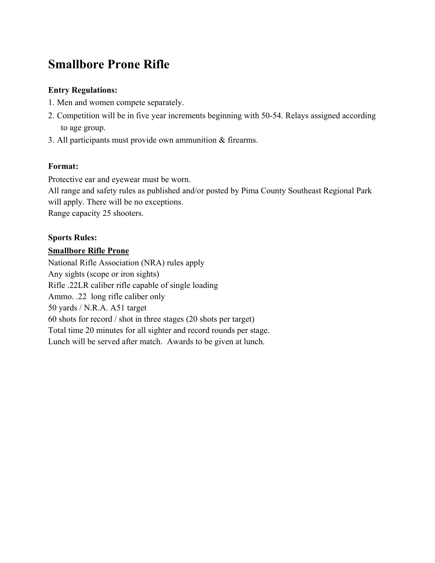# **Smallbore Prone Rifle**

# **Entry Regulations:**

- 1. Men and women compete separately.
- 2. Competition will be in five year increments beginning with 50-54. Relays assigned according to age group.
- 3. All participants must provide own ammunition & firearms.

# **Format:**

Protective ear and eyewear must be worn.

All range and safety rules as published and/or posted by Pima County Southeast Regional Park will apply. There will be no exceptions. Range capacity 25 shooters.

# **Sports Rules:**

# **Smallbore Rifle Prone**

National Rifle Association (NRA) rules apply Any sights (scope or iron sights) Rifle .22LR caliber rifle capable of single loading Ammo. .22 long rifle caliber only 50 yards / N.R.A. A51 target 60 shots for record / shot in three stages (20 shots per target) Total time 20 minutes for all sighter and record rounds per stage. Lunch will be served after match. Awards to be given at lunch.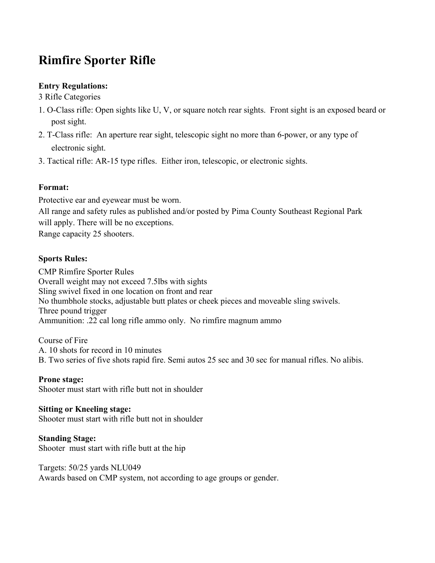# **Rimfire Sporter Rifle**

# **Entry Regulations:**

3 Rifle Categories

- 1. O-Class rifle: Open sights like U, V, or square notch rear sights. Front sight is an exposed beard or post sight.
- 2. T-Class rifle: An aperture rear sight, telescopic sight no more than 6-power, or any type of electronic sight.
- 3. Tactical rifle: AR-15 type rifles. Either iron, telescopic, or electronic sights.

#### **Format:**

Protective ear and eyewear must be worn.

All range and safety rules as published and/or posted by Pima County Southeast Regional Park will apply. There will be no exceptions.

Range capacity 25 shooters.

# **Sports Rules:**

CMP Rimfire Sporter Rules Overall weight may not exceed 7.5lbs with sights Sling swivel fixed in one location on front and rear No thumbhole stocks, adjustable butt plates or cheek pieces and moveable sling swivels. Three pound trigger Ammunition: .22 cal long rifle ammo only. No rimfire magnum ammo

Course of Fire A. 10 shots for record in 10 minutes B. Two series of five shots rapid fire. Semi autos 25 sec and 30 sec for manual rifles. No alibis.

#### **Prone stage:**

Shooter must start with rifle butt not in shoulder

#### **Sitting or Kneeling stage:**

Shooter must start with rifle butt not in shoulder

#### **Standing Stage:**

Shooter must start with rifle butt at the hip

#### Targets: 50/25 yards NLU049

Awards based on CMP system, not according to age groups or gender.